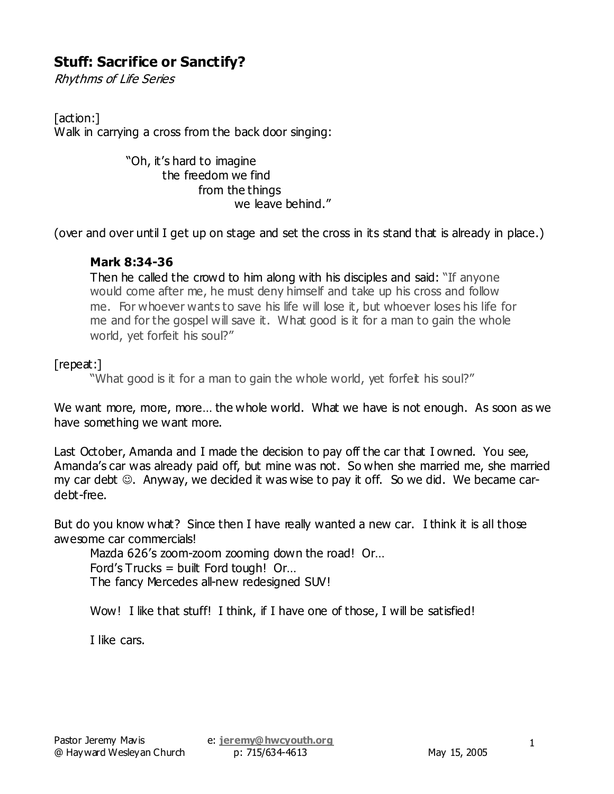# **Stuff: Sacrifice or Sanctify?**

Rhythms of Life Series

[action:] Walk in carrying a cross from the back door singing:

> "Oh, it's hard to imagine the freedom we find from the things we leave behind."

(over and over until I get up on stage and set the cross in its stand that is already in place.)

#### **Mark 8:34-36**

Then he called the crowd to him along with his disciples and said: "If anyone would come after me, he must deny himself and take up his cross and follow me. For whoever wants to save his life will lose it, but whoever loses his life for me and for the gospel will save it. What good is it for a man to gain the whole world, yet forfeit his soul?"

#### [repeat:]

"What good is it for a man to gain the whole world, yet forfeit his soul?"

We want more, more, more... the whole world. What we have is not enough. As soon as we have something we want more.

Last October, Amanda and I made the decision to pay off the car that I owned. You see, Amanda's car was already paid off, but mine was not. So when she married me, she married my car debt ☺. Anyway, we decided it was wise to pay it off. So we did. We became cardebt-free.

But do you know what? Since then I have really wanted a new car. I think it is all those awesome car commercials!

Mazda 626's zoom-zoom zooming down the road! Or… Ford's Trucks = built Ford tough! Or… The fancy Mercedes all-new redesigned SUV!

Wow! I like that stuff! I think, if I have one of those, I will be satisfied!

I like cars.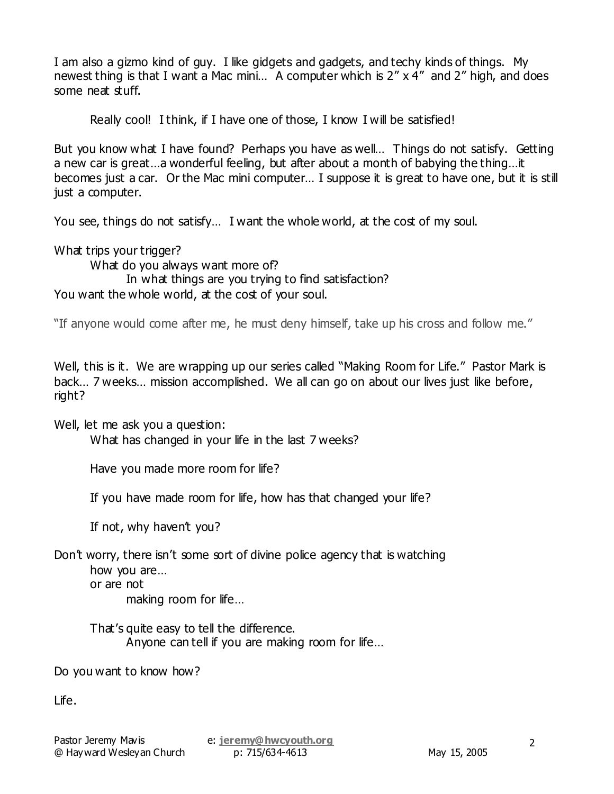I am also a gizmo kind of guy. I like gidgets and gadgets, and techy kinds of things. My newest thing is that I want a Mac mini… A computer which is 2" x 4" and 2" high, and does some neat stuff.

Really cool! I think, if I have one of those, I know I will be satisfied!

But you know what I have found? Perhaps you have as well… Things do not satisfy. Getting a new car is great…a wonderful feeling, but after about a month of babying the thing…it becomes just a car. Or the Mac mini computer… I suppose it is great to have one, but it is still just a computer.

You see, things do not satisfy... I want the whole world, at the cost of my soul.

What trips your trigger? What do you always want more of? In what things are you trying to find satisfaction? You want the whole world, at the cost of your soul.

"If anyone would come after me, he must deny himself, take up his cross and follow me."

Well, this is it. We are wrapping up our series called "Making Room for Life." Pastor Mark is back… 7 weeks… mission accomplished. We all can go on about our lives just like before, right?

Well, let me ask you a question: What has changed in your life in the last 7 weeks?

Have you made more room for life?

If you have made room for life, how has that changed your life?

If not, why haven't you?

Don't worry, there isn't some sort of divine police agency that is watching how you are…

or are not

making room for life…

That's quite easy to tell the difference. Anyone can tell if you are making room for life…

Do you want to know how?

Life.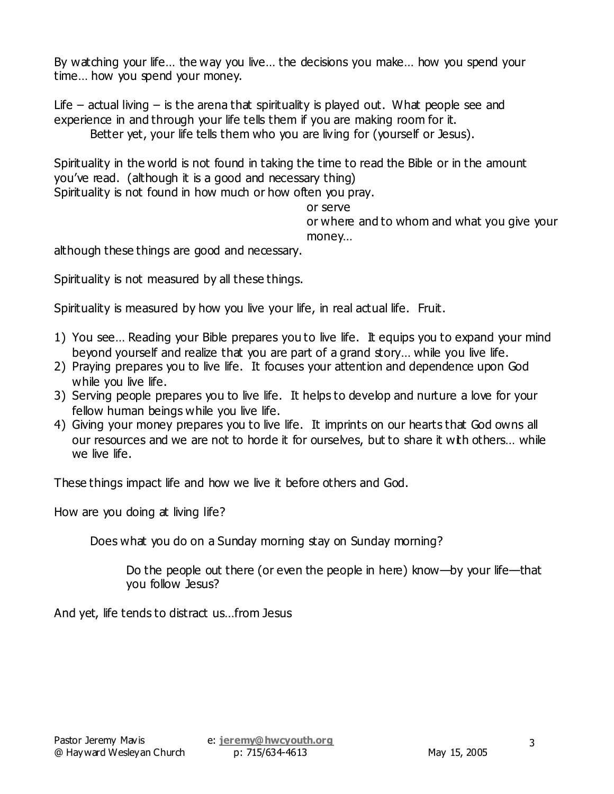By watching your life… the way you live… the decisions you make… how you spend your time… how you spend your money.

Life – actual living – is the arena that spirituality is played out. What people see and experience in and through your life tells them if you are making room for it. Better yet, your life tells them who you are living for (yourself or Jesus).

Spirituality in the world is not found in taking the time to read the Bible or in the amount you've read. (although it is a good and necessary thing)

Spirituality is not found in how much or how often you pray.

#### or serve

or where and to whom and what you give your money…

although these things are good and necessary.

Spirituality is not measured by all these things.

Spirituality is measured by how you live your life, in real actual life. Fruit.

- 1) You see… Reading your Bible prepares you to live life. It equips you to expand your mind beyond yourself and realize that you are part of a grand story… while you live life.
- 2) Praying prepares you to live life. It focuses your attention and dependence upon God while you live life.
- 3) Serving people prepares you to live life. It helps to develop and nurture a love for your fellow human beings while you live life.
- 4) Giving your money prepares you to live life. It imprints on our hearts that God owns all our resources and we are not to horde it for ourselves, but to share it with others… while we live life.

These things impact life and how we live it before others and God.

How are you doing at living life?

Does what you do on a Sunday morning stay on Sunday morning?

Do the people out there (or even the people in here) know—by your life—that you follow Jesus?

And yet, life tends to distract us…from Jesus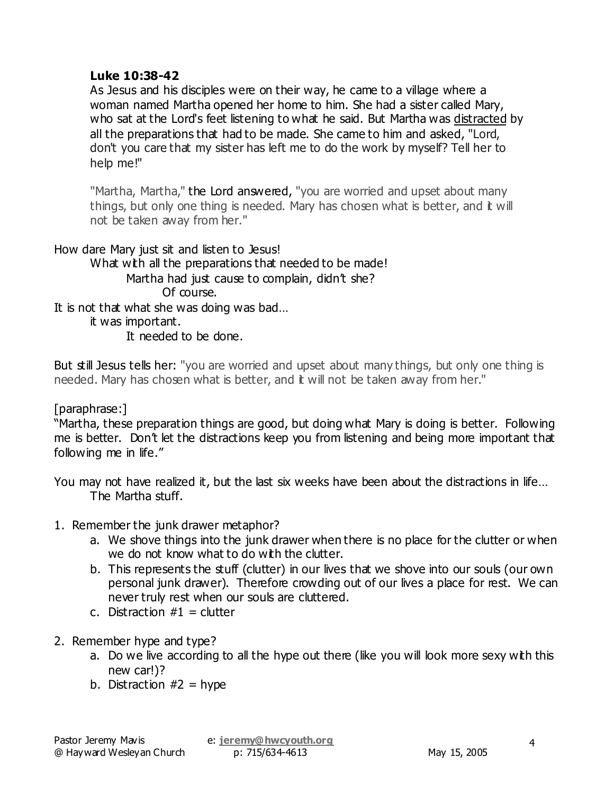#### **Luke 10:38-42**

As Jesus and his disciples were on their way, he came to a village where a woman named Martha opened her home to him. She had a sister called Mary, who sat at the Lord's feet listening to what he said. But Martha was distracted by all the preparations that had to be made. She came to him and asked, "Lord, don't you care that my sister has left me to do the work by myself? Tell her to help me!"

"Martha, Martha," the Lord answered, "you are worried and upset about many things, but only one thing is needed. Mary has chosen what is better, and it will not be taken away from her."

How dare Mary just sit and listen to Jesus! What with all the preparations that needed to be made! Martha had just cause to complain, didn't she? Of course. It is not that what she was doing was bad… it was important. It needed to be done.

But still Jesus tells her: "you are worried and upset about many things, but only one thing is needed. Mary has chosen what is better, and it will not be taken away from her."

[paraphrase:]

"Martha, these preparation things are good, but doing what Mary is doing is better. Following me is better. Don't let the distractions keep you from listening and being more important that following me in life."

You may not have realized it, but the last six weeks have been about the distractions in life… The Martha stuff.

- 1. Remember the junk drawer metaphor?
	- a. We shove things into the junk drawer when there is no place for the clutter or when we do not know what to do with the clutter.
	- b. This represents the stuff (clutter) in our lives that we shove into our souls (our own personal junk drawer). Therefore crowding out of our lives a place for rest. We can never truly rest when our souls are cluttered.
	- c. Distraction  $#1 =$  clutter
- 2. Remember hype and type?
	- a. Do we live according to all the hype out there (like you will look more sexy with this new car!)?
	- b. Distraction  $#2 =$  hype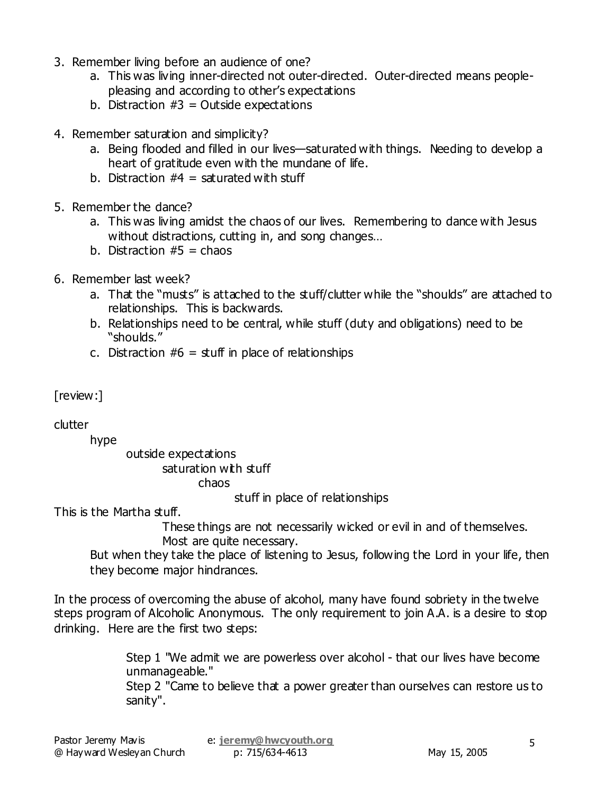- 3. Remember living before an audience of one?
	- a. This was living inner-directed not outer-directed. Outer-directed means peoplepleasing and according to other's expectations
	- b. Distraction  $#3 =$  Outside expectations
- 4. Remember saturation and simplicity?
	- a. Being flooded and filled in our lives—saturated with things. Needing to develop a heart of gratitude even with the mundane of life.
	- b. Distraction  $#4 =$  saturated with stuff
- 5. Remember the dance?
	- a. This was living amidst the chaos of our lives. Remembering to dance with Jesus without distractions, cutting in, and song changes...
	- b. Distraction  $#5 =$  chaos
- 6. Remember last week?
	- a. That the "musts" is attached to the stuff/clutter while the "shoulds" are attached to relationships. This is backwards.
	- b. Relationships need to be central, while stuff (duty and obligations) need to be "shoulds."
	- c. Distraction  $#6 = \text{stuff}$  in place of relationships

[review:]

clutter

hype

outside expectations saturation with stuff chaos

stuff in place of relationships

This is the Martha stuff.

These things are not necessarily wicked or evil in and of themselves. Most are quite necessary.

But when they take the place of listening to Jesus, following the Lord in your life, then they become major hindrances.

In the process of overcoming the abuse of alcohol, many have found sobriety in the twelve steps program of Alcoholic Anonymous. The only requirement to join A.A. is a desire to stop drinking. Here are the first two steps:

> Step 1 "We admit we are powerless over alcohol - that our lives have become unmanageable."

> Step 2 "Came to believe that a power greater than ourselves can restore us to sanity".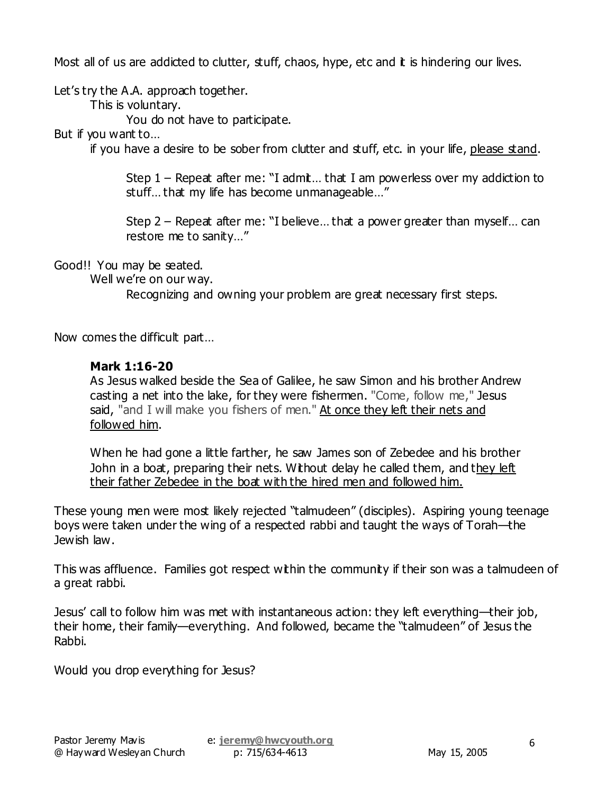Most all of us are addicted to clutter, stuff, chaos, hype, etc and it is hindering our lives.

Let's try the A.A. approach together.

This is voluntary.

You do not have to participate.

But if you want to…

if you have a desire to be sober from clutter and stuff, etc. in your life, please stand.

Step  $1$  – Repeat after me: "I admit... that I am powerless over my addiction to stuff… that my life has become unmanageable…"

Step 2 – Repeat after me: "I believe… that a power greater than myself… can restore me to sanity…"

Good!! You may be seated.

Well we're on our way.

Recognizing and owning your problem are great necessary first steps.

Now comes the difficult part…

#### **Mark 1:16-20**

As Jesus walked beside the Sea of Galilee, he saw Simon and his brother Andrew casting a net into the lake, for they were fishermen. "Come, follow me," Jesus said, "and I will make you fishers of men." At once they left their nets and followed him.

When he had gone a little farther, he saw James son of Zebedee and his brother John in a boat, preparing their nets. Without delay he called them, and they left their father Zebedee in the boat with the hired men and followed him.

These young men were most likely rejected "talmudeen" (disciples). Aspiring young teenage boys were taken under the wing of a respected rabbi and taught the ways of Torah—the Jewish law.

This was affluence. Families got respect within the community if their son was a talmudeen of a great rabbi.

Jesus' call to follow him was met with instantaneous action: they left everything—their job, their home, their family—everything. And followed, became the "talmudeen" of Jesus the Rabbi.

Would you drop everything for Jesus?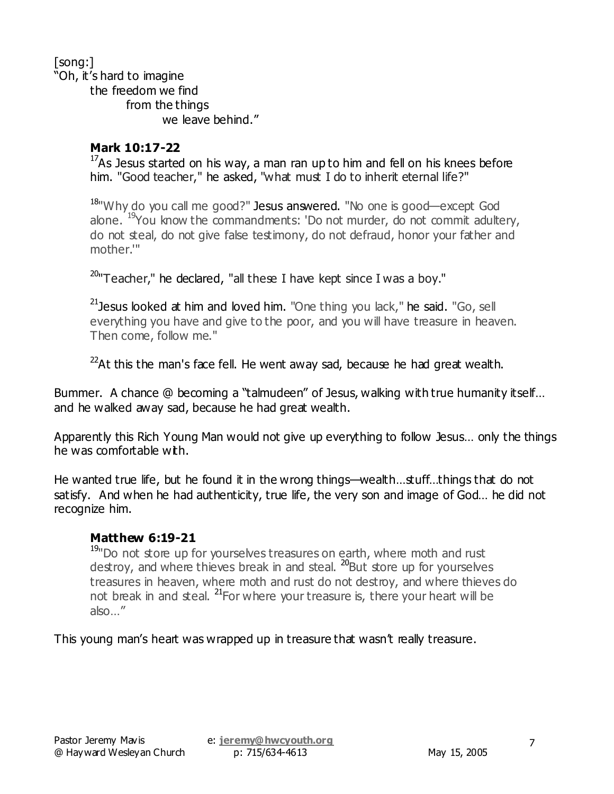[song:] "Oh, it's hard to imagine the freedom we find from the things we leave behind."

#### **Mark 10:17-22**

 $1/4$ s Jesus started on his way, a man ran up to him and fell on his knees before him. "Good teacher," he asked, "what must I do to inherit eternal life?"

<sup>18</sup> Why do you call me good?" Jesus answered. "No one is good—except God alone.  $19$ You know the commandments: 'Do not murder, do not commit adultery, do not steal, do not give false testimony, do not defraud, honor your father and mother.'"

 $20$ "Teacher," he declared, "all these I have kept since I was a boy."

<sup>21</sup>Jesus looked at him and loved him. "One thing you lack," he said. "Go, sell everything you have and give to the poor, and you will have treasure in heaven. Then come, follow me."

 $^{22}$ At this the man's face fell. He went away sad, because he had great wealth.

Bummer. A chance @ becoming a "talmudeen" of Jesus, walking with true humanity itself… and he walked away sad, because he had great wealth.

Apparently this Rich Young Man would not give up everything to follow Jesus… only the things he was comfortable with.

He wanted true life, but he found it in the wrong things—wealth…stuff…things that do not satisfy. And when he had authenticity, true life, the very son and image of God… he did not recognize him.

### **Matthew 6:19-21**

<sup>19</sup>"Do not store up for yourselves treasures on earth, where moth and rust destroy, and where thieves break in and steal.  $^{20}$ But store up for yourselves treasures in heaven, where moth and rust do not destroy, and where thieves do not break in and steal. <sup>21</sup>For where your treasure is, there your heart will be also…"

This young man's heart was wrapped up in treasure that wasn't really treasure.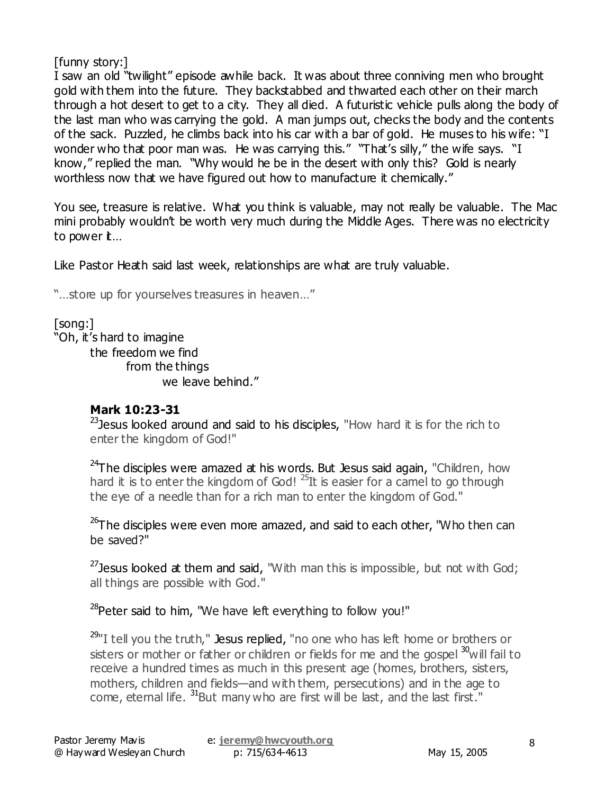[funny story:]

I saw an old "twilight" episode awhile back. It was about three conniving men who brought gold with them into the future. They backstabbed and thwarted each other on their march through a hot desert to get to a city. They all died. A futuristic vehicle pulls along the body of the last man who was carrying the gold. A man jumps out, checks the body and the contents of the sack. Puzzled, he climbs back into his car with a bar of gold. He muses to his wife: "I wonder who that poor man was. He was carrying this." "That's silly," the wife says. "I know," replied the man. "Why would he be in the desert with only this? Gold is nearly worthless now that we have figured out how to manufacture it chemically."

You see, treasure is relative. What you think is valuable, may not really be valuable. The Mac mini probably wouldn't be worth very much during the Middle Ages. There was no electricity to power it...

Like Pastor Heath said last week, relationships are what are truly valuable.

"…store up for yourselves treasures in heaven…"

[song:] "Oh, it's hard to imagine the freedom we find from the things we leave behind."

# **Mark 10:23-31**

 $^{23}$  Jesus looked around and said to his disciples, "How hard it is for the rich to enter the kingdom of God!"

<sup>24</sup>The disciples were amazed at his words. But Jesus said again, "Children, how hard it is to enter the kingdom of God!  $^{25}$ It is easier for a camel to go through the eye of a needle than for a rich man to enter the kingdom of God."

 $26$ The disciples were even more amazed, and said to each other, "Who then can be saved?"

<sup>27</sup>Jesus looked at them and said, "With man this is impossible, but not with God; all things are possible with God."

 $28$ Peter said to him, "We have left everything to follow you!"

<sup>29</sup>"I tell you the truth," Jesus replied, "no one who has left home or brothers or sisters or mother or father or children or fields for me and the gospel  $30$ will fail to receive a hundred times as much in this present age (homes, brothers, sisters, mothers, children and fields—and with them, persecutions) and in the age to come, eternal life.  $31$ But many who are first will be last, and the last first."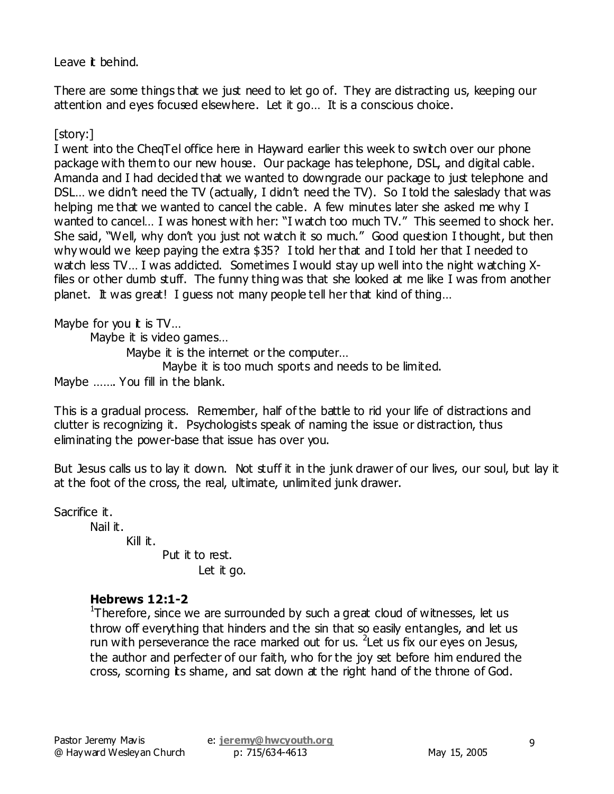Leave it behind.

There are some things that we just need to let go of. They are distracting us, keeping our attention and eyes focused elsewhere. Let it go… It is a conscious choice.

[story:]

I went into the CheqTel office here in Hayward earlier this week to switch over our phone package with them to our new house. Our package has telephone, DSL, and digital cable. Amanda and I had decided that we wanted to downgrade our package to just telephone and DSL... we didn't need the TV (actually, I didn't need the TV). So I told the saleslady that was helping me that we wanted to cancel the cable. A few minutes later she asked me why I wanted to cancel… I was honest with her: "I watch too much TV." This seemed to shock her. She said, "Well, why don't you just not watch it so much." Good question I thought, but then why would we keep paying the extra \$35? I told her that and I told her that I needed to watch less TV... I was addicted. Sometimes I would stay up well into the night watching Xfiles or other dumb stuff. The funny thing was that she looked at me like I was from another planet. It was great! I guess not many people tell her that kind of thing…

Maybe for you  $t$  is  $TV...$ 

Maybe it is video games…

Maybe it is the internet or the computer…

Maybe it is too much sports and needs to be limited.

Maybe ……. You fill in the blank.

This is a gradual process. Remember, half of the battle to rid your life of distractions and clutter is recognizing it. Psychologists speak of naming the issue or distraction, thus eliminating the power-base that issue has over you.

But Jesus calls us to lay it down. Not stuff it in the junk drawer of our lives, our soul, but lay it at the foot of the cross, the real, ultimate, unlimited junk drawer.

Sacrifice it.

Nail it.

Kill it. Put it to rest. Let it go.

# **Hebrews 12:1-2**

<sup>1</sup>Therefore, since we are surrounded by such a great cloud of witnesses, let us throw off everything that hinders and the sin that so easily entangles, and let us run with perseverance the race marked out for us. <sup>2</sup> Let us fix our eyes on Jesus, the author and perfecter of our faith, who for the joy set before him endured the cross, scorning its shame, and sat down at the right hand of the throne of God.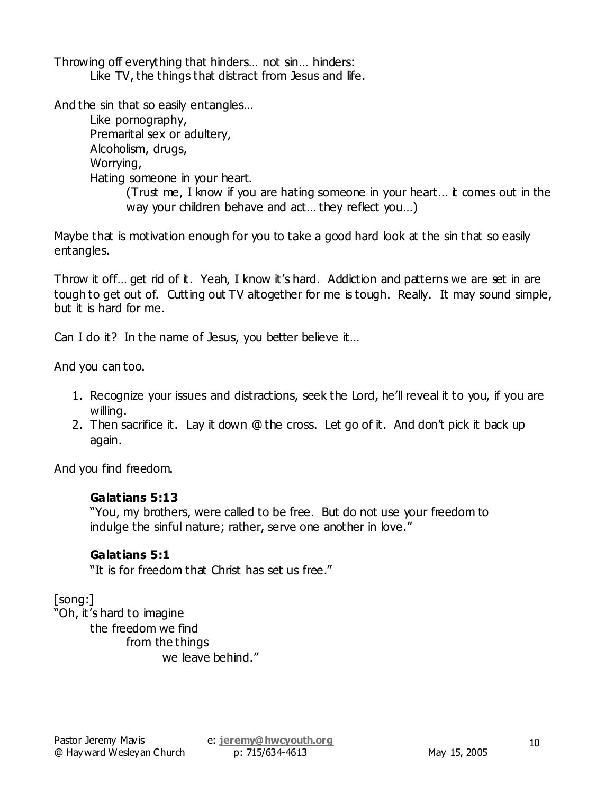Throwing off everything that hinders… not sin… hinders: Like TV, the things that distract from Jesus and life.

And the sin that so easily entangles…

Like pornography, Premarital sex or adultery, Alcoholism, drugs, Worrying, Hating someone in your heart. (Trust me, I know if you are hating someone in your heart… it comes out in the way your children behave and act… they reflect you…)

Maybe that is motivation enough for you to take a good hard look at the sin that so easily entangles.

Throw it off... get rid of it. Yeah, I know it's hard. Addiction and patterns we are set in are tough to get out of. Cutting out TV altogether for me is tough. Really. It may sound simple, but it is hard for me.

Can I do it? In the name of Jesus, you better believe it…

And you can too.

- 1. Recognize your issues and distractions, seek the Lord, he'll reveal it to you, if you are willing.
- 2. Then sacrifice it. Lay it down @ the cross. Let go of it. And don't pick it back up again.

And you find freedom.

#### **Galatians 5:13**

"You, my brothers, were called to be free. But do not use your freedom to indulge the sinful nature; rather, serve one another in love."

### **Galatians 5:1**

"It is for freedom that Christ has set us free."

[song:]

"Oh, it's hard to imagine the freedom we find from the things we leave behind."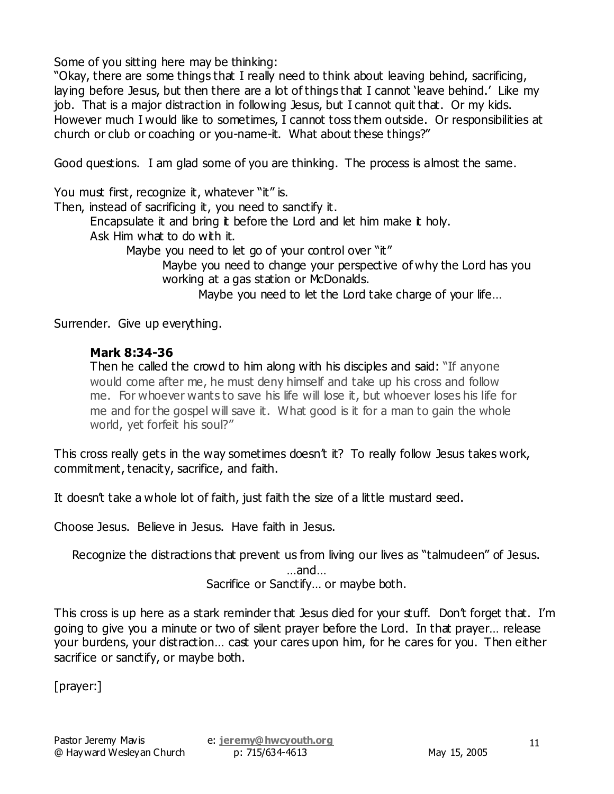Some of you sitting here may be thinking:

"Okay, there are some things that I really need to think about leaving behind, sacrificing, laying before Jesus, but then there are a lot of things that I cannot 'leave behind.' Like my job. That is a major distraction in following Jesus, but I cannot quit that. Or my kids. However much I would like to sometimes, I cannot toss them outside. Or responsibilities at church or club or coaching or you-name-it. What about these things?"

Good questions. I am glad some of you are thinking. The process is almost the same.

You must first, recognize it, whatever "it" is. Then, instead of sacrificing it, you need to sanctify it. Encapsulate it and bring it before the Lord and let him make it holy. Ask Him what to do with it. Maybe you need to let go of your control over "it" Maybe you need to change your perspective of why the Lord has you working at a gas station or McDonalds. Maybe you need to let the Lord take charge of your life…

Surrender. Give up everything.

### **Mark 8:34-36**

Then he called the crowd to him along with his disciples and said: "If anyone would come after me, he must deny himself and take up his cross and follow me. For whoever wants to save his life will lose it, but whoever loses his life for me and for the gospel will save it. What good is it for a man to gain the whole world, yet forfeit his soul?"

This cross really gets in the way sometimes doesn't it? To really follow Jesus takes work, commitment, tenacity, sacrifice, and faith.

It doesn't take a whole lot of faith, just faith the size of a little mustard seed.

Choose Jesus. Believe in Jesus. Have faith in Jesus.

Recognize the distractions that prevent us from living our lives as "talmudeen" of Jesus. …and… Sacrifice or Sanctify... or maybe both.

This cross is up here as a stark reminder that Jesus died for your stuff. Don't forget that. I'm going to give you a minute or two of silent prayer before the Lord. In that prayer… release your burdens, your distraction... cast your cares upon him, for he cares for you. Then either sacrifice or sanctify, or maybe both.

[prayer:]